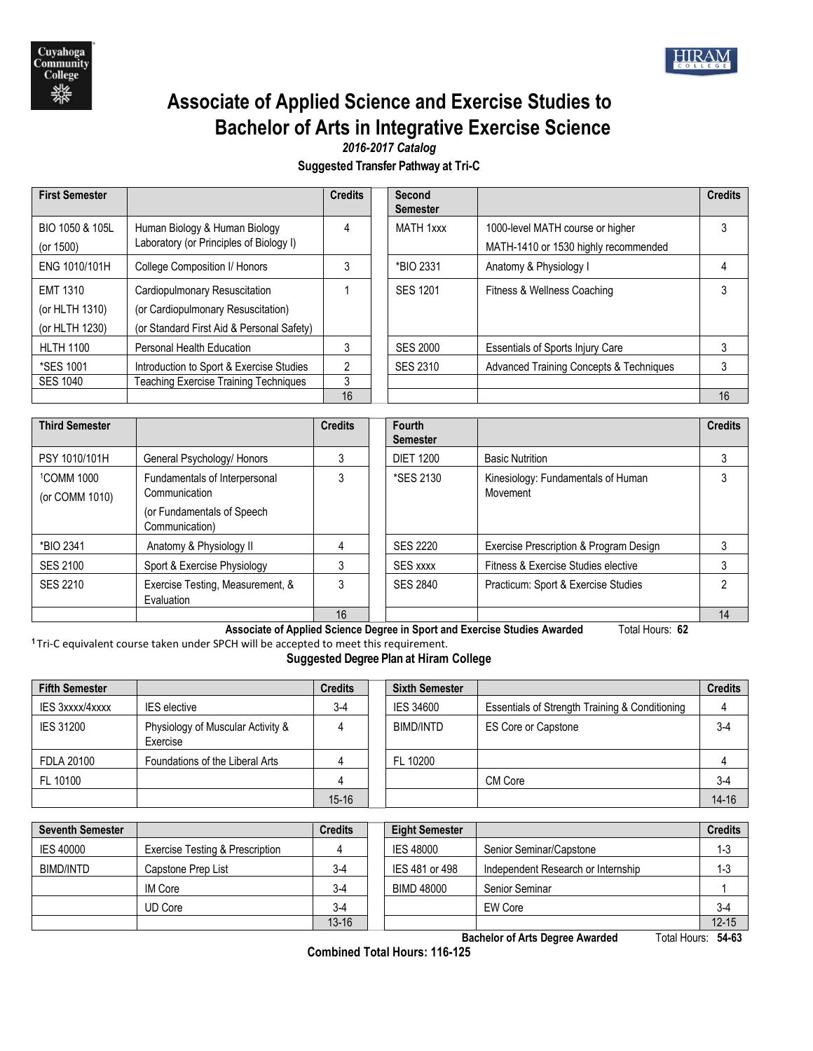

# **Associate of Applied Science and Exercise Studies to Bachelor of Arts in Integrative Exercise Science**

*2016-2017 Catalog*

**Suggested Transfer Pathway at Tri-C**

|                                                                                                                  | <b>Credits</b> |    | Second<br><b>Semester</b> |                                                                          | <b>Credits</b> |
|------------------------------------------------------------------------------------------------------------------|----------------|----|---------------------------|--------------------------------------------------------------------------|----------------|
| Human Biology & Human Biology<br>Laboratory (or Principles of Biology I)                                         |                |    | MATH 1xxx                 | 1000-level MATH course or higher<br>MATH-1410 or 1530 highly recommended | 3              |
| College Composition I/ Honors                                                                                    | 3              |    | *BIO 2331                 | Anatomy & Physiology I                                                   | 4              |
| Cardiopulmonary Resuscitation<br>(or Cardiopulmonary Resuscitation)<br>(or Standard First Aid & Personal Safety) |                |    | <b>SES 1201</b>           | Fitness & Wellness Coaching                                              | 3              |
| Personal Health Education                                                                                        | 3              |    | <b>SES 2000</b>           | <b>Essentials of Sports Injury Care</b>                                  | 3              |
| Introduction to Sport & Exercise Studies<br><b>Teaching Exercise Training Techniques</b>                         | 2<br>3         |    | SES 2310                  | <b>Advanced Training Concepts &amp; Techniques</b>                       | 3<br>16        |
|                                                                                                                  |                | 16 |                           |                                                                          |                |

| <b>Third Semester</b>                    |                                                | <b>Credits</b> | Fourth<br><b>Semester</b> |                                                | <b>Credits</b> |
|------------------------------------------|------------------------------------------------|----------------|---------------------------|------------------------------------------------|----------------|
| PSY 1010/101H                            | General Psychology/ Honors                     |                | <b>DIET 1200</b>          | <b>Basic Nutrition</b>                         |                |
| <sup>1</sup> COMM 1000<br>(or COMM 1010) | Fundamentals of Interpersonal<br>Communication | 3              | *SES 2130                 | Kinesiology: Fundamentals of Human<br>Movement | 3              |
|                                          | (or Fundamentals of Speech<br>Communication)   |                |                           |                                                |                |
| *BIO 2341                                | Anatomy & Physiology II                        | 4              | <b>SES 2220</b>           | Exercise Prescription & Program Design         |                |
| <b>SES 2100</b>                          | Sport & Exercise Physiology                    | 3              | <b>SES xxxx</b>           | Fitness & Exercise Studies elective            |                |
| SES 2210                                 | Exercise Testing, Measurement, &<br>Evaluation |                | <b>SES 2840</b>           | Practicum: Sport & Exercise Studies            | ∩              |
|                                          |                                                | 16             |                           |                                                | 14             |

**Associate of Applied Science Degree in Sport and Exercise Studies Awarded** Total Hours: **62**

**<sup>1</sup>**Tri-C equivalent course taken under SPCH will be accepted to meet this requirement. **Suggested Degree Plan at Hiram College**

| <b>Fifth Semester</b>  |                                               | <b>Credits</b> | <b>Sixth Semester</b> |                                                | <b>Credits</b> |
|------------------------|-----------------------------------------------|----------------|-----------------------|------------------------------------------------|----------------|
| <b>IES 3xxxx/4xxxx</b> | <b>IES</b> elective                           | $3-4$          | <b>IES 34600</b>      | Essentials of Strength Training & Conditioning |                |
| <b>IES 31200</b>       | Physiology of Muscular Activity &<br>Exercise |                | BIMD/INTD             | <b>ES Core or Capstone</b>                     | $3-4$          |
| FDLA 20100             | Foundations of the Liberal Arts               |                | FL 10200              |                                                |                |
| FL 10100               |                                               |                |                       | CM Core                                        | $3-4$          |
|                        |                                               | $15 - 16$      |                       |                                                | $14 - 16$      |

| <b>Seventh Semester</b> |                                            | <b>Credits</b> | <b>Eight Semester</b> |                                    | <b>Credits</b> |
|-------------------------|--------------------------------------------|----------------|-----------------------|------------------------------------|----------------|
| <b>IES 40000</b>        | <b>Exercise Testing &amp; Prescription</b> |                | <b>IES 48000</b>      | Senior Seminar/Capstone            | $1 - 3$        |
| BIMD/INTD               | Capstone Prep List                         | $3-4$          | IES 481 or 498        | Independent Research or Internship | $1 - 3$        |
|                         | IM Core                                    | $3-4$          | BIMD 48000            | Senior Seminar                     |                |
|                         | <b>UD Core</b>                             | $3-4$          |                       | EW Core                            | $3-4$          |
|                         |                                            | $13 - 16$      |                       |                                    | $12 - 15$      |

**Bachelor of Arts Degree Awarded** Total Hours: **54-63**

**Combined Total Hours: 116-125**